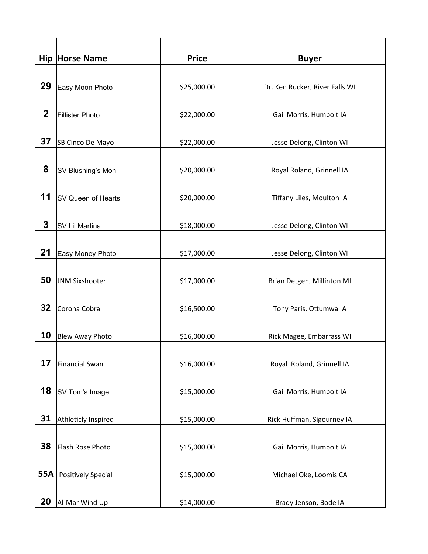|             | <b>Hip Horse Name</b>     | <b>Price</b> | <b>Buyer</b>                   |
|-------------|---------------------------|--------------|--------------------------------|
|             |                           |              |                                |
| 29          | Easy Moon Photo           | \$25,000.00  | Dr. Ken Rucker, River Falls WI |
|             |                           |              |                                |
| $\mathbf 2$ | Fillister Photo           | \$22,000.00  | Gail Morris, Humbolt IA        |
|             |                           |              |                                |
| 37          | SB Cinco De Mayo          | \$22,000.00  | Jesse Delong, Clinton WI       |
|             |                           |              |                                |
| 8           | SV Blushing's Moni        | \$20,000.00  | Royal Roland, Grinnell IA      |
|             |                           |              |                                |
| 11          | SV Queen of Hearts        | \$20,000.00  | Tiffany Liles, Moulton IA      |
|             |                           |              |                                |
| 3           | SV Lil Martina            | \$18,000.00  | Jesse Delong, Clinton WI       |
|             |                           |              |                                |
| 21          | Easy Money Photo          | \$17,000.00  | Jesse Delong, Clinton WI       |
|             |                           |              |                                |
| 50          | JNM Sixshooter            | \$17,000.00  | Brian Detgen, Millinton MI     |
|             |                           |              |                                |
| 32          | Corona Cobra              | \$16,500.00  | Tony Paris, Ottumwa IA         |
|             |                           |              |                                |
| 10          | <b>Blew Away Photo</b>    | \$16,000.00  | Rick Magee, Embarrass WI       |
|             |                           |              |                                |
| 17          | Financial Swan            | \$16,000.00  | Royal Roland, Grinnell IA      |
|             |                           |              |                                |
| 18          | SV Tom's Image            | \$15,000.00  | Gail Morris, Humbolt IA        |
|             |                           |              |                                |
| 31          | Athleticly Inspired       | \$15,000.00  | Rick Huffman, Sigourney IA     |
|             |                           |              |                                |
| 38          | Flash Rose Photo          | \$15,000.00  | Gail Morris, Humbolt IA        |
|             |                           |              |                                |
| <b>55A</b>  | <b>Positively Special</b> | \$15,000.00  | Michael Oke, Loomis CA         |
|             |                           |              |                                |
| 20          | Al-Mar Wind Up            | \$14,000.00  | Brady Jenson, Bode IA          |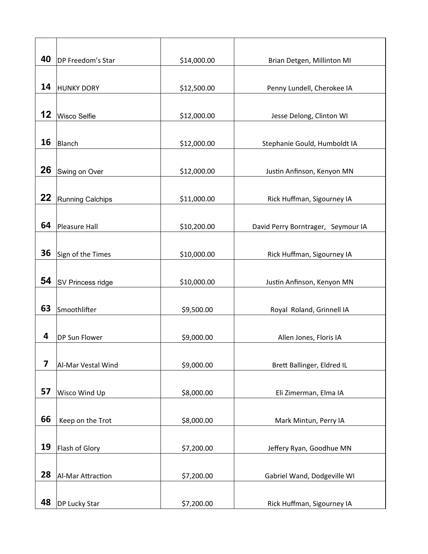| 40                      | DP Freedom's Star  | \$14,000.00 | Brian Detgen, Millinton MI         |
|-------------------------|--------------------|-------------|------------------------------------|
|                         |                    |             |                                    |
| 14                      | <b>HUNKY DORY</b>  | \$12,500.00 | Penny Lundell, Cherokee IA         |
|                         |                    |             |                                    |
| 12                      | Wisco Selfie       | \$12,000.00 | Jesse Delong, Clinton WI           |
|                         |                    |             |                                    |
| 16                      | Blanch             | \$12,000.00 | Stephanie Gould, Humboldt IA       |
|                         |                    |             |                                    |
| 26                      | Swing on Over      | \$12,000.00 | Justin Anfinson, Kenyon MN         |
|                         |                    |             |                                    |
| 22                      | Running Calchips   | \$11,000.00 | Rick Huffman, Sigourney IA         |
|                         |                    |             |                                    |
| 64                      | Pleasure Hall      | \$10,200.00 | David Perry Borntrager, Seymour IA |
|                         |                    |             |                                    |
| 36                      | Sign of the Times  | \$10,000.00 | Rick Huffman, Sigourney IA         |
|                         |                    |             |                                    |
| 54                      | SV Princess ridge  | \$10,000.00 | Justin Anfinson, Kenyon MN         |
|                         |                    |             |                                    |
| 63                      | Smoothlifter       | \$9,500.00  | Royal Roland, Grinnell IA          |
|                         |                    |             |                                    |
| 4                       | DP Sun Flower      | \$9,000.00  | Allen Jones, Floris IA             |
|                         |                    |             |                                    |
| $\overline{\mathbf{z}}$ | Al-Mar Vestal Wind | \$9,000.00  | Brett Ballinger, Eldred IL         |
|                         |                    |             |                                    |
| 57                      | Wisco Wind Up      | \$8,000.00  | Eli Zimerman, Elma IA              |
| 66                      |                    |             |                                    |
|                         | Keep on the Trot   | \$8,000.00  | Mark Mintun, Perry IA              |
| 19                      |                    |             |                                    |
|                         | Flash of Glory     | \$7,200.00  | Jeffery Ryan, Goodhue MN           |
| 28                      |                    |             |                                    |
|                         | Al-Mar Attraction  | \$7,200.00  | Gabriel Wand, Dodgeville WI        |
| 48                      |                    |             |                                    |
|                         | DP Lucky Star      | \$7,200.00  | Rick Huffman, Sigourney IA         |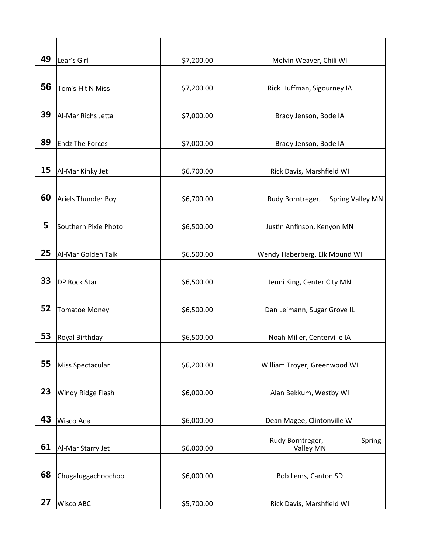| 49 | Lear's Girl            | \$7,200.00 | Melvin Weaver, Chili WI                     |
|----|------------------------|------------|---------------------------------------------|
|    |                        |            |                                             |
| 56 | Tom's Hit N Miss       | \$7,200.00 | Rick Huffman, Sigourney IA                  |
|    |                        |            |                                             |
| 39 | Al-Mar Richs Jetta     | \$7,000.00 | Brady Jenson, Bode IA                       |
|    |                        |            |                                             |
| 89 | <b>Endz The Forces</b> | \$7,000.00 | Brady Jenson, Bode IA                       |
|    |                        |            |                                             |
|    |                        |            |                                             |
| 15 | Al-Mar Kinky Jet       | \$6,700.00 | Rick Davis, Marshfield WI                   |
|    |                        |            |                                             |
| 60 | Ariels Thunder Boy     | \$6,700.00 | Rudy Borntreger,<br><b>Spring Valley MN</b> |
|    |                        |            |                                             |
| 5  | Southern Pixie Photo   | \$6,500.00 | Justin Anfinson, Kenyon MN                  |
|    |                        |            |                                             |
| 25 | Al-Mar Golden Talk     | \$6,500.00 | Wendy Haberberg, Elk Mound WI               |
|    |                        |            |                                             |
| 33 | DP Rock Star           | \$6,500.00 | Jenni King, Center City MN                  |
|    |                        |            |                                             |
| 52 | <b>Tomatoe Money</b>   | \$6,500.00 | Dan Leimann, Sugar Grove IL                 |
|    |                        |            |                                             |
| 53 | Royal Birthday         | \$6,500.00 | Noah Miller, Centerville IA                 |
|    |                        |            |                                             |
| 55 | Miss Spectacular       | \$6,200.00 | William Troyer, Greenwood WI                |
|    |                        |            |                                             |
| 23 | Windy Ridge Flash      | \$6,000.00 | Alan Bekkum, Westby WI                      |
|    |                        |            |                                             |
| 43 |                        |            |                                             |
|    | Wisco Ace              | \$6,000.00 | Dean Magee, Clintonville WI                 |
|    |                        |            | Rudy Borntreger,<br>Spring                  |
| 61 | Al-Mar Starry Jet      | \$6,000.00 | Valley MN                                   |
|    |                        |            |                                             |
| 68 | Chugaluggachoochoo     | \$6,000.00 | Bob Lems, Canton SD                         |
|    |                        |            |                                             |
| 27 | Wisco ABC              | \$5,700.00 | Rick Davis, Marshfield WI                   |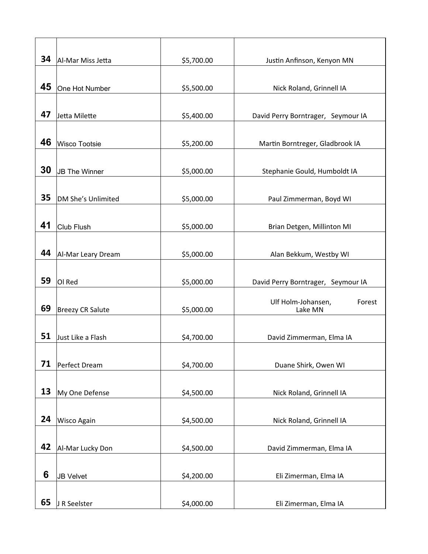| 34 | Al-Mar Miss Jetta    | \$5,700.00 | Justin Anfinson, Kenyon MN         |
|----|----------------------|------------|------------------------------------|
|    |                      |            |                                    |
| 45 | One Hot Number       | \$5,500.00 | Nick Roland, Grinnell IA           |
|    |                      |            |                                    |
| 47 | Jetta Milette        | \$5,400.00 | David Perry Borntrager, Seymour IA |
|    |                      |            |                                    |
| 46 | Wisco Tootsie        | \$5,200.00 | Martin Borntreger, Gladbrook IA    |
|    |                      |            |                                    |
| 30 | <b>JB The Winner</b> | \$5,000.00 | Stephanie Gould, Humboldt IA       |
|    |                      |            |                                    |
| 35 | DM She's Unlimited   | \$5,000.00 | Paul Zimmerman, Boyd WI            |
|    |                      |            |                                    |
| 41 | Club Flush           | \$5,000.00 | Brian Detgen, Millinton MI         |
|    |                      |            |                                    |
| 44 | Al-Mar Leary Dream   | \$5,000.00 | Alan Bekkum, Westby WI             |
|    |                      |            |                                    |
| 59 | OI Red               | \$5,000.00 | David Perry Borntrager, Seymour IA |
|    |                      |            | Ulf Holm-Johansen,<br>Forest       |
| 69 | Breezy CR Salute     | \$5,000.00 | Lake MN                            |
|    |                      |            |                                    |
| 51 | Just Like a Flash    | \$4,700.00 | David Zimmerman, Elma IA           |
|    |                      |            |                                    |
| 71 | Perfect Dream        | \$4,700.00 | Duane Shirk, Owen WI               |
|    |                      |            |                                    |
| 13 | My One Defense       | \$4,500.00 | Nick Roland, Grinnell IA           |
|    |                      |            |                                    |
| 24 | Wisco Again          | \$4,500.00 | Nick Roland, Grinnell IA           |
|    |                      |            |                                    |
| 42 | Al-Mar Lucky Don     | \$4,500.00 | David Zimmerman, Elma IA           |
|    |                      |            |                                    |
| 6  | <b>JB Velvet</b>     | \$4,200.00 | Eli Zimerman, Elma IA              |
|    |                      |            |                                    |
| 65 | J R Seelster         | \$4,000.00 | Eli Zimerman, Elma IA              |